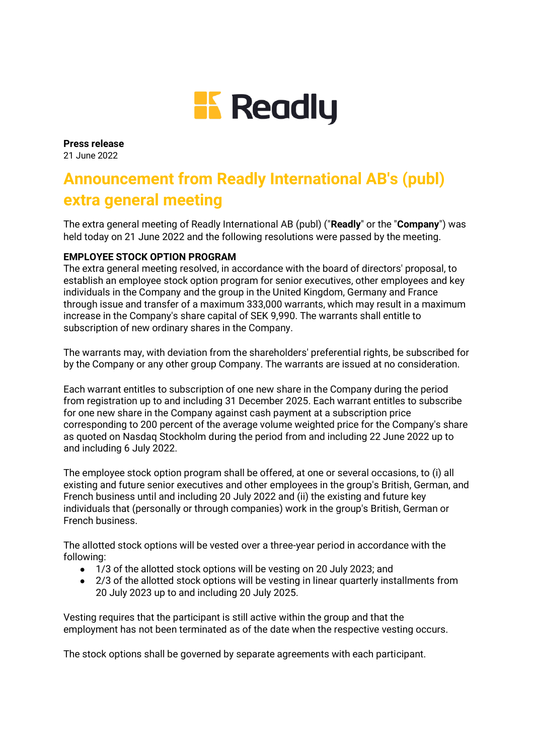

**Press release**  21 June 2022

# **Announcement from Readly International AB's (publ) extra general meeting**

The extra general meeting of Readly International AB (publ) ("**Readly**" or the "**Company**") was held today on 21 June 2022 and the following resolutions were passed by the meeting.

## **EMPLOYEE STOCK OPTION PROGRAM**

The extra general meeting resolved, in accordance with the board of directors' proposal, to establish an employee stock option program for senior executives, other employees and key individuals in the Company and the group in the United Kingdom, Germany and France through issue and transfer of a maximum 333,000 warrants, which may result in a maximum increase in the Company's share capital of SEK 9,990. The warrants shall entitle to subscription of new ordinary shares in the Company.

The warrants may, with deviation from the shareholders' preferential rights, be subscribed for by the Company or any other group Company. The warrants are issued at no consideration.

Each warrant entitles to subscription of one new share in the Company during the period from registration up to and including 31 December 2025. Each warrant entitles to subscribe for one new share in the Company against cash payment at a subscription price corresponding to 200 percent of the average volume weighted price for the Company's share as quoted on Nasdaq Stockholm during the period from and including 22 June 2022 up to and including 6 July 2022.

The employee stock option program shall be offered, at one or several occasions, to (i) all existing and future senior executives and other employees in the group's British, German, and French business until and including 20 July 2022 and (ii) the existing and future key individuals that (personally or through companies) work in the group's British, German or French business.

The allotted stock options will be vested over a three-year period in accordance with the following:

- 1/3 of the allotted stock options will be vesting on 20 July 2023; and
- 2/3 of the allotted stock options will be vesting in linear quarterly installments from 20 July 2023 up to and including 20 July 2025.

Vesting requires that the participant is still active within the group and that the employment has not been terminated as of the date when the respective vesting occurs.

The stock options shall be governed by separate agreements with each participant.